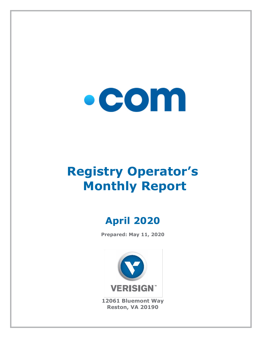

# **Registry Operator's Monthly Report**

## **April 2020**

**Prepared: May 11, 2020**



**12061 Bluemont Way Reston, VA 20190**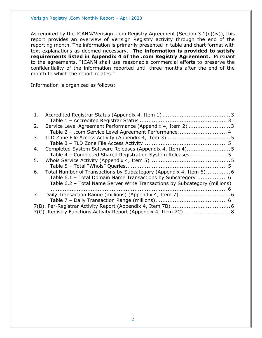As required by the ICANN/Verisign .com Registry Agreement (Section 3.1(c)(iv)), this report provides an overview of Verisign Registry activity through the end of the reporting month. The information is primarily presented in table and chart format with text explanations as deemed necessary. **The information is provided to satisfy requirements listed in Appendix 4 of the .com Registry Agreement.** Pursuant to the agreements, "ICANN shall use reasonable commercial efforts to preserve the confidentiality of the information reported until three months after the end of the month to which the report relates."

Information is organized as follows:

| 1. |                                                                            |  |
|----|----------------------------------------------------------------------------|--|
|    |                                                                            |  |
| 2. | Service Level Agreement Performance (Appendix 4, Item 2)  3                |  |
|    | Table 2 - .com Service Level Agreement Performance 4                       |  |
| 3. |                                                                            |  |
|    |                                                                            |  |
| 4. |                                                                            |  |
|    | Table 4 - Completed Shared Registration System Releases  5                 |  |
| 5. |                                                                            |  |
|    |                                                                            |  |
| 6. | Total Number of Transactions by Subcategory (Appendix 4, Item 6)6          |  |
|    | Table 6.1 - Total Domain Name Transactions by Subcategory  6               |  |
|    | Table 6.2 - Total Name Server Write Transactions by Subcategory (millions) |  |
|    |                                                                            |  |
| 7. |                                                                            |  |
|    |                                                                            |  |
|    |                                                                            |  |
|    | 7(C). Registry Functions Activity Report (Appendix 4, Item 7C) 8           |  |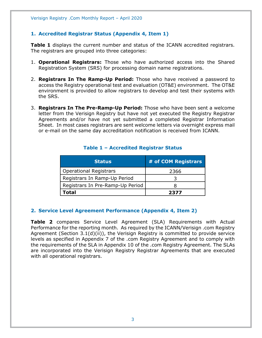#### <span id="page-2-0"></span>**1. Accredited Registrar Status (Appendix 4, Item 1)**

**Table 1** displays the current number and status of the ICANN accredited registrars. The registrars are grouped into three categories:

- 1. **Operational Registrars:** Those who have authorized access into the Shared Registration System (SRS) for processing domain name registrations.
- 2. **Registrars In The Ramp-Up Period:** Those who have received a password to access the Registry operational test and evaluation (OT&E) environment. The OT&E environment is provided to allow registrars to develop and test their systems with the SRS.
- 3. **Registrars In The Pre-Ramp-Up Period:** Those who have been sent a welcome letter from the Verisign Registry but have not yet executed the Registry Registrar Agreements and/or have not yet submitted a completed Registrar Information Sheet. In most cases registrars are sent welcome letters via overnight express mail or e-mail on the same day accreditation notification is received from ICANN.

<span id="page-2-1"></span>

| <b>Status</b>                    | # of COM Registrars |
|----------------------------------|---------------------|
| <b>Operational Registrars</b>    | 2366                |
| Registrars In Ramp-Up Period     |                     |
| Registrars In Pre-Ramp-Up Period |                     |
| Total                            | 2377                |

#### **Table 1 – Accredited Registrar Status**

#### <span id="page-2-2"></span>**2. Service Level Agreement Performance (Appendix 4, Item 2)**

**Table 2** compares Service Level Agreement (SLA) Requirements with Actual Performance for the reporting month. As required by the ICANN/Verisign .com Registry Agreement (Section 3.1(d)(ii)), the Verisign Registry is committed to provide service levels as specified in Appendix 7 of the .com Registry Agreement and to comply with the requirements of the SLA in Appendix 10 of the .com Registry Agreement. The SLAs are incorporated into the Verisign Registry Registrar Agreements that are executed with all operational registrars.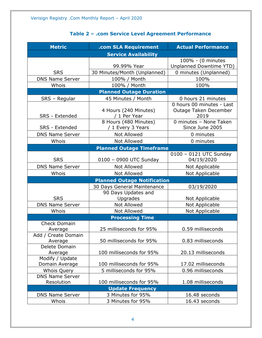### **Table 2 – .com Service Level Agreement Performance**

<span id="page-3-0"></span>

| <b>Metric</b>                         | .com SLA Requirement                       | <b>Actual Performance</b>                                  |  |
|---------------------------------------|--------------------------------------------|------------------------------------------------------------|--|
|                                       | <b>Service Availability</b>                |                                                            |  |
|                                       | 99.99% Year                                | 100% - (0 minutes<br>Unplanned Downtime YTD)               |  |
| <b>SRS</b>                            | 30 Minutes/Month (Unplanned)               | 0 minutes (Unplanned)                                      |  |
| <b>DNS Name Server</b>                | 100% / Month                               | 100%                                                       |  |
| Whois                                 | 100% / Month                               | 100%                                                       |  |
|                                       | <b>Planned Outage Duration</b>             |                                                            |  |
| SRS - Regular                         | 45 Minutes / Month                         | 0 hours 21 minutes                                         |  |
| SRS - Extended                        | 4 Hours (240 Minutes)<br>/ 1 Per Year      | 0 hours 00 minutes - Last<br>Outage Taken December<br>2019 |  |
| SRS - Extended                        | 8 Hours (480 Minutes)<br>/ 1 Every 3 Years | 0 minutes - None Taken<br>Since June 2005                  |  |
| <b>DNS Name Server</b>                | <b>Not Allowed</b>                         | 0 minutes                                                  |  |
| Whois                                 | Not Allowed                                | 0 minutes                                                  |  |
|                                       | <b>Planned Outage Timeframe</b>            |                                                            |  |
| <b>SRS</b>                            | 0100 - 0900 UTC Sunday                     | 0100 - 0121 UTC Sunday<br>04/19/2020                       |  |
| <b>DNS Name Server</b>                | Not Allowed                                | Not Applicable                                             |  |
| Whois                                 | Not Allowed                                | Not Applicable                                             |  |
|                                       | <b>Planned Outage Notification</b>         |                                                            |  |
|                                       | 30 Days General Maintenance                | 03/19/2020                                                 |  |
| <b>SRS</b>                            | 90 Days Updates and<br>Upgrades            | Not Applicable                                             |  |
| <b>DNS Name Server</b>                | Not Allowed                                | Not Applicable                                             |  |
| Whois                                 | <b>Not Allowed</b>                         | Not Applicable                                             |  |
|                                       | <b>Processing Time</b>                     |                                                            |  |
| <b>Check Domain</b><br>Average        | 25 milliseconds for 95%                    | 0.59 milliseconds                                          |  |
| Add / Create Domain<br>Average        | 50 milliseconds for 95%                    | 0.83 milliseconds                                          |  |
| Delete Domain<br>Average              | 100 milliseconds for 95%                   | 20.13 milliseconds                                         |  |
| Modify / Update                       |                                            |                                                            |  |
| Domain Average                        | 100 milliseconds for 95%                   | 17.02 milliseconds                                         |  |
| Whois Query<br><b>DNS Name Server</b> | 5 milliseconds for 95%                     | 0.96 milliseconds                                          |  |
| Resolution                            | 100 milliseconds for 95%                   | 1.08 milliseconds                                          |  |
|                                       | <b>Update Frequency</b>                    |                                                            |  |
| <b>DNS Name Server</b>                | 3 Minutes for 95%                          | 16.48 seconds                                              |  |
| Whois                                 | 3 Minutes for 95%                          | 16.43 seconds                                              |  |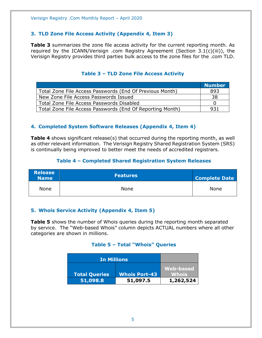#### <span id="page-4-0"></span>**3. TLD Zone File Access Activity (Appendix 4, Item 3)**

**Table 3** summarizes the zone file access activity for the current reporting month. As required by the ICANN/Verisign .com Registry Agreement (Section 3.1(c)(iii)), the Verisign Registry provides third parties bulk access to the zone files for the .com TLD.

<span id="page-4-1"></span>

|                                                           | <b>Number</b> |
|-----------------------------------------------------------|---------------|
| Total Zone File Access Passwords (End Of Previous Month)  | 893           |
| New Zone File Access Passwords Issued                     | 38            |
| Total Zone File Access Passwords Disabled                 |               |
| Total Zone File Access Passwords (End Of Reporting Month) | 931           |

#### **Table 3 – TLD Zone File Access Activity**

#### <span id="page-4-2"></span>**4. Completed System Software Releases (Appendix 4, Item 4)**

**Table 4** shows significant release(s) that occurred during the reporting month, as well as other relevant information. The Verisign Registry Shared Registration System (SRS) is continually being improved to better meet the needs of accredited registrars.

#### **Table 4 – Completed Shared Registration System Releases**

<span id="page-4-3"></span>

| <b>Release</b><br><b>Name</b> | <b>Features</b> | <b>Complete Date</b> |
|-------------------------------|-----------------|----------------------|
| None                          | None            | <b>None</b>          |

#### <span id="page-4-4"></span>**5. Whois Service Activity (Appendix 4, Item 5)**

<span id="page-4-5"></span>**Table 5** shows the number of Whois queries during the reporting month separated by service. The "Web-based Whois" column depicts ACTUAL numbers where all other categories are shown in millions.

#### **Table 5 – Total "Whois" Queries**

| <b>In Millions</b>               |                                  |                           |
|----------------------------------|----------------------------------|---------------------------|
|                                  |                                  | Web-based                 |
| <b>Total Queries</b><br>51,098.8 | <b>Whois Port-43</b><br>51,097.5 | <b>Whois</b><br>1,262,524 |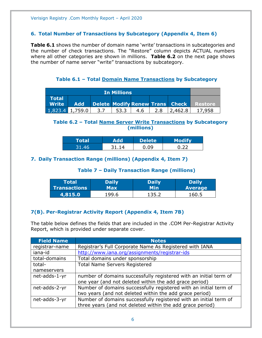#### <span id="page-5-0"></span>**6. Total Number of Transactions by Subcategory (Appendix 4, Item 6)**

**Table 6.1** shows the number of domain name 'write' transactions in subcategories and the number of check transactions. The "Restore" column depicts ACTUAL numbers where all other categories are shown in millions. **Table 6.2** on the next page shows the number of name server "write" transactions by subcategory.

**Table 6.1 – Total Domain Name Transactions by Subcategory**

<span id="page-5-1"></span>

| <b>In Millions</b> |            |     |      |     |     |                                 |         |
|--------------------|------------|-----|------|-----|-----|---------------------------------|---------|
| l Total'<br>Write  | <b>Add</b> |     |      |     |     | Delete Modify Renew Trans Check | Restore |
| 1,823.4            | 1,759.0    | 3.7 | 53.3 | 4.6 | 2.8 | 2,462.8                         |         |

#### <span id="page-5-2"></span>**Table 6.2 – Total Name Server Write Transactions by Subcategory (millions)**

| Total | ᆏ     | <b>Delete</b> | <b>Modify</b> |
|-------|-------|---------------|---------------|
| 31.46 | 31 14 | 0.09. ل       |               |

#### <span id="page-5-4"></span><span id="page-5-3"></span>**7. Daily Transaction Range (millions) (Appendix 4, Item 7)**

#### **Table 7 – Daily Transaction Range (millions)**

| Total               | <b>Daily</b> | <b>Daily</b> | <b>Daily</b>   |
|---------------------|--------------|--------------|----------------|
| <b>Transactions</b> | Max          | Min          | <b>Average</b> |
| 4,815.0             | 199.6        |              | 160.5          |

#### <span id="page-5-5"></span>**7(B). Per-Registrar Activity Report (Appendix 4, Item 7B)**

The table below defines the fields that are included in the .COM Per-Registrar Activity Report, which is provided under separate cover.

| <b>Field Name</b> | <b>Notes</b>                                                      |
|-------------------|-------------------------------------------------------------------|
| registrar-name    | Registrar's Full Corporate Name As Registered with IANA           |
| iana-id           | http://www.iana.org/assignments/registrar-ids                     |
| total-domains     | Total domains under sponsorship                                   |
| total-            | <b>Total Name Servers Registered</b>                              |
| nameservers       |                                                                   |
| net-adds-1-yr     | number of domains successfully registered with an initial term of |
|                   | one year (and not deleted within the add grace period)            |
| net-adds-2-yr     | Number of domains successfully registered with an initial term of |
|                   | two years (and not deleted within the add grace period)           |
| net-adds-3-yr     | Number of domains successfully registered with an initial term of |
|                   | three years (and not deleted within the add grace period)         |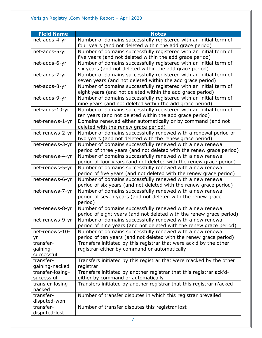| <b>Field Name</b>      | <b>Notes</b>                                                                                                                 |
|------------------------|------------------------------------------------------------------------------------------------------------------------------|
| net-adds-4-yr          | Number of domains successfully registered with an initial term of                                                            |
|                        | four years (and not deleted within the add grace period)                                                                     |
| net-adds-5-yr          | Number of domains successfully registered with an initial term of                                                            |
|                        | five years (and not deleted within the add grace period)                                                                     |
| net-adds-6-yr          | Number of domains successfully registered with an initial term of                                                            |
|                        | six years (and not deleted within the add grace period)                                                                      |
| net-adds-7-yr          | Number of domains successfully registered with an initial term of                                                            |
|                        | seven years (and not deleted within the add grace period)                                                                    |
| net-adds-8-yr          | Number of domains successfully registered with an initial term of                                                            |
|                        | eight years (and not deleted within the add grace period)                                                                    |
| net-adds-9-yr          | Number of domains successfully registered with an initial term of                                                            |
|                        | nine years (and not deleted within the add grace period)                                                                     |
| net-adds-10-yr         | Number of domains successfully registered with an initial term of<br>ten years (and not deleted within the add grace period) |
| net-renews-1-yr        | Domains renewed either automatically or by command (and not                                                                  |
|                        | deleted with the renew grace period)                                                                                         |
| net-renews-2-yr        | Number of domains successfully renewed with a renewal period of                                                              |
|                        | two years (and not deleted with the renew grace period)                                                                      |
| net-renews-3-yr        | Number of domains successfully renewed with a new renewal                                                                    |
|                        | period of three years (and not deleted with the renew grace period)                                                          |
| net-renews-4-yr        | Number of domains successfully renewed with a new renewal                                                                    |
|                        | period of four years (and not deleted with the renew grace period)                                                           |
| net-renews-5-yr        | Number of domains successfully renewed with a new renewal                                                                    |
|                        | period of five years (and not deleted with the renew grace period)                                                           |
| net-renews-6-yr        | Number of domains successfully renewed with a new renewal                                                                    |
|                        | period of six years (and not deleted with the renew grace period)                                                            |
| net-renews-7-yr        | Number of domains successfully renewed with a new renewal                                                                    |
|                        | period of seven years (and not deleted with the renew grace<br>period)                                                       |
| net-renews-8-yr        | Number of domains successfully renewed with a new renewal                                                                    |
|                        | period of eight years (and not deleted with the renew grace period)                                                          |
| net-renews-9-yr        | Number of domains successfully renewed with a new renewal                                                                    |
|                        | period of nine years (and not deleted with the renew grace period)                                                           |
| net-renews-10-         | Number of domains successfully renewed with a new renewal                                                                    |
| yr                     | period of ten years (and not deleted with the renew grace period)                                                            |
| transfer-              | Transfers initiated by this registrar that were ack'd by the other<br>registrar-either by command or automatically           |
| gaining-<br>successful |                                                                                                                              |
| transfer-              | Transfers initiated by this registrar that were n'acked by the other                                                         |
| gaining-nacked         | registrar                                                                                                                    |
| transfer-losing-       | Transfers initiated by another registrar that this registrar ack'd-                                                          |
| successful             | either by command or automatically                                                                                           |
| transfer-losing-       | Transfers initiated by another registrar that this registrar n'acked                                                         |
| nacked                 |                                                                                                                              |
| transfer-              | Number of transfer disputes in which this registrar prevailed                                                                |
| disputed-won           |                                                                                                                              |
| transfer-              | Number of transfer disputes this registrar lost                                                                              |
| disputed-lost          |                                                                                                                              |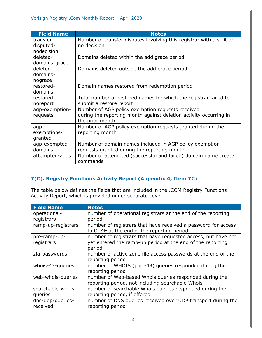| <b>Field Name</b> | <b>Notes</b>                                                         |
|-------------------|----------------------------------------------------------------------|
| transfer-         | Number of transfer disputes involving this registrar with a split or |
| disputed-         | no decision                                                          |
| nodecision        |                                                                      |
| deleted-          | Domains deleted within the add grace period                          |
| domains-grace     |                                                                      |
| deleted-          | Domains deleted outside the add grace period                         |
| domains-          |                                                                      |
| nograce           |                                                                      |
| restored-         | Domain names restored from redemption period                         |
| domains           |                                                                      |
| restored-         | Total number of restored names for which the registrar failed to     |
| noreport          | submit a restore report                                              |
| agp-exemption-    | Number of AGP policy exemption requests received                     |
| requests          | during the reporting month against deletion activity occurring in    |
|                   | the prior month                                                      |
| agp-              | Number of AGP policy exemption requests granted during the           |
| exemptions-       | reporting month                                                      |
| granted           |                                                                      |
| agp-exempted-     | Number of domain names included in AGP policy exemption              |
| domains           | requests granted during the reporting month                          |
| attempted-adds    | Number of attempted (successful and failed) domain name create       |
|                   | commands                                                             |

#### <span id="page-7-0"></span>**7(C). Registry Functions Activity Report (Appendix 4, Item 7C)**

The table below defines the fields that are included in the .COM Registry Functions Activity Report, which is provided under separate cover.

| <b>Field Name</b>  | <b>Notes</b>                                                                                                |
|--------------------|-------------------------------------------------------------------------------------------------------------|
| operational-       | number of operational registrars at the end of the reporting                                                |
| registrars         | period                                                                                                      |
| ramp-up-registrars | number of registrars that have received a password for access<br>to OT&E at the end of the reporting period |
| pre-ramp-up-       | number of registrars that have requested access, but have not                                               |
| registrars         | yet entered the ramp-up period at the end of the reporting                                                  |
|                    | period                                                                                                      |
| zfa-passwords      | number of active zone file access passwords at the end of the                                               |
|                    | reporting period                                                                                            |
| whois-43-queries   | number of WHOIS (port-43) queries responded during the                                                      |
|                    | reporting period                                                                                            |
| web-whois-queries  | number of Web-based Whois queries responded during the                                                      |
|                    | reporting period, not including searchable Whois                                                            |
| searchable-whois-  | number of searchable Whois queries responded during the                                                     |
| queries            | reporting period, if offered                                                                                |
| dns-udp-queries-   | number of DNS queries received over UDP transport during the                                                |
| received           | reporting period                                                                                            |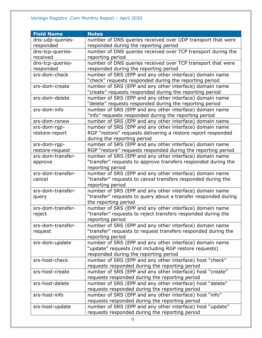| <b>Field Name</b> | <b>Notes</b>                                                                                                            |
|-------------------|-------------------------------------------------------------------------------------------------------------------------|
| dns-udp-queries-  | number of DNS queries received over UDP transport that were                                                             |
| responded         | responded during the reporting period                                                                                   |
| dns-tcp-queries-  | number of DNS queries received over TCP transport during the                                                            |
| received          | reporting period                                                                                                        |
| dns-tcp-queries-  | number of DNS queries received over TCP transport that were                                                             |
| responded         | responded during the reporting period                                                                                   |
| srs-dom-check     | number of SRS (EPP and any other interface) domain name                                                                 |
|                   | "check" requests responded during the reporting period                                                                  |
| srs-dom-create    | number of SRS (EPP and any other interface) domain name                                                                 |
|                   | "create" requests responded during the reporting period                                                                 |
| srs-dom-delete    | number of SRS (EPP and any other interface) domain name                                                                 |
|                   | "delete" requests responded during the reporting period                                                                 |
| srs-dom-info      | number of SRS (EPP and any other interface) domain name                                                                 |
|                   | "info" requests responded during the reporting period                                                                   |
| srs-dom-renew     | number of SRS (EPP and any other interface) domain name                                                                 |
| srs-dom-rgp-      | number of SRS (EPP and any other interface) domain name                                                                 |
| restore-report    | RGP "restore" requests delivering a restore report responded                                                            |
|                   | during the reporting period                                                                                             |
| srs-dom-rgp-      | number of SRS (EPP and any other interface) domain name                                                                 |
| restore-request   | RGP "restore" requests responded during the reporting period                                                            |
| srs-dom-transfer- | number of SRS (EPP and any other interface) domain name                                                                 |
| approve           | "transfer" requests to approve transfers responded during the                                                           |
| srs-dom-transfer- | reporting period                                                                                                        |
| cancel            | number of SRS (EPP and any other interface) domain name<br>"transfer" requests to cancel transfers responded during the |
|                   | reporting period                                                                                                        |
| srs-dom-transfer- | number of SRS (EPP and any other interface) domain name                                                                 |
| query             | "transfer" requests to query about a transfer responded during                                                          |
|                   | the reporting period                                                                                                    |
| srs-dom-transfer- | number of SRS (EPP and any other interface) domain name                                                                 |
| reject            | "transfer" requests to reject transfers responded during the                                                            |
|                   | reporting period                                                                                                        |
| srs-dom-transfer- | number of SRS (EPP and any other interface) domain name                                                                 |
| request           | "transfer" requests to request transfers responded during the                                                           |
|                   | reporting period                                                                                                        |
| srs-dom-update    | number of SRS (EPP and any other interface) domain name                                                                 |
|                   | "update" requests (not including RGP restore requests)                                                                  |
|                   | responded during the reporting period                                                                                   |
| srs-host-check    | number of SRS (EPP and any other interface) host "check"                                                                |
|                   | requests responded during the reporting period                                                                          |
| srs-host-create   | number of SRS (EPP and any other interface) host "create"                                                               |
|                   | requests responded during the reporting period                                                                          |
| srs-host-delete   | number of SRS (EPP and any other interface) host "delete"                                                               |
|                   | requests responded during the reporting period                                                                          |
| srs-host-info     | number of SRS (EPP and any other interface) host "info"                                                                 |
|                   | requests responded during the reporting period                                                                          |
| srs-host-update   | number of SRS (EPP and any other interface) host "update"                                                               |
|                   | requests responded during the reporting period                                                                          |